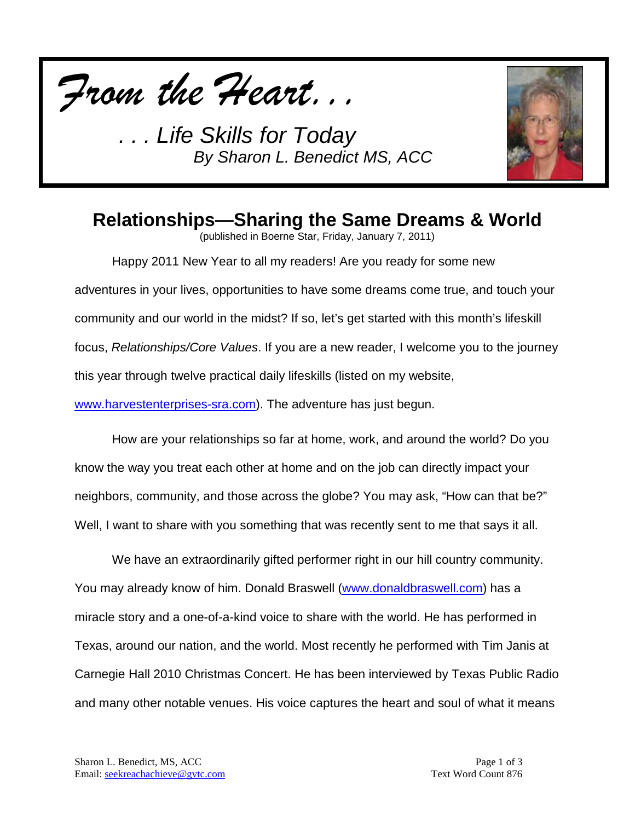



## **Relationships—Sharing the Same Dreams & World**

(published in Boerne Star, Friday, January 7, 2011)

Happy 2011 New Year to all my readers! Are you ready for some new adventures in your lives, opportunities to have some dreams come true, and touch your community and our world in the midst? If so, let's get started with this month's lifeskill focus, *Relationships/Core Values*. If you are a new reader, I welcome you to the journey this year through twelve practical daily lifeskills (listed on my website, [www.harvestenterprises-sra.com\)](http://www.harvestenterprises-sra.com/). The adventure has just begun.

How are your relationships so far at home, work, and around the world? Do you know the way you treat each other at home and on the job can directly impact your neighbors, community, and those across the globe? You may ask, "How can that be?" Well, I want to share with you something that was recently sent to me that says it all.

We have an extraordinarily gifted performer right in our hill country community. You may already know of him. Donald Braswell [\(www.donaldbraswell.com\)](http://www.donaldbraswell.com/) has a miracle story and a one-of-a-kind voice to share with the world. He has performed in Texas, around our nation, and the world. Most recently he performed with Tim Janis at Carnegie Hall 2010 Christmas Concert. He has been interviewed by Texas Public Radio and many other notable venues. His voice captures the heart and soul of what it means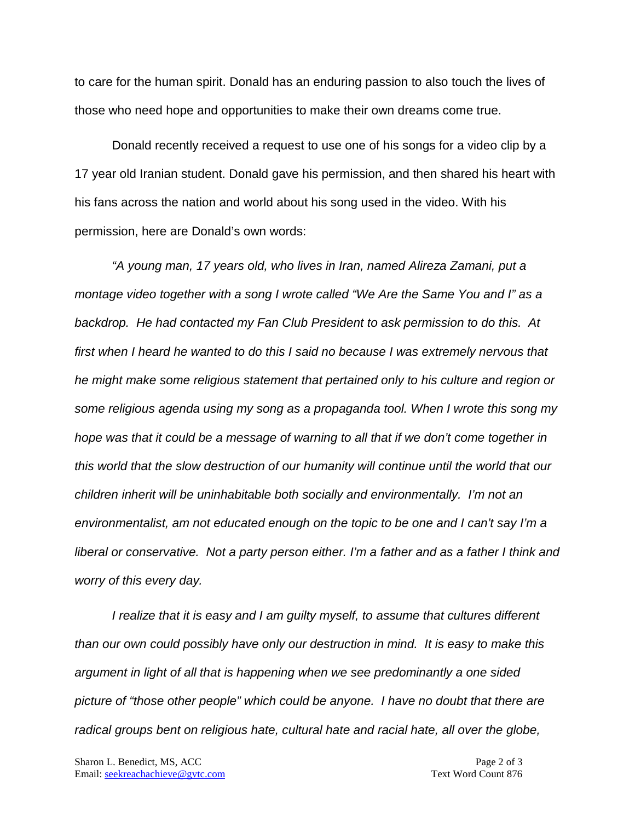to care for the human spirit. Donald has an enduring passion to also touch the lives of those who need hope and opportunities to make their own dreams come true.

Donald recently received a request to use one of his songs for a video clip by a 17 year old Iranian student. Donald gave his permission, and then shared his heart with his fans across the nation and world about his song used in the video. With his permission, here are Donald's own words:

*"A young man, 17 years old, who lives in Iran, named Alireza Zamani, put a montage video together with a song I wrote called "We Are the Same You and I" as a backdrop. He had contacted my Fan Club President to ask permission to do this. At first when I heard he wanted to do this I said no because I was extremely nervous that he might make some religious statement that pertained only to his culture and region or some religious agenda using my song as a propaganda tool. When I wrote this song my hope was that it could be a message of warning to all that if we don't come together in this world that the slow destruction of our humanity will continue until the world that our children inherit will be uninhabitable both socially and environmentally. I'm not an environmentalist, am not educated enough on the topic to be one and I can't say I'm a liberal or conservative. Not a party person either. I'm a father and as a father I think and worry of this every day.*

*I realize that it is easy and I am guilty myself, to assume that cultures different than our own could possibly have only our destruction in mind. It is easy to make this argument in light of all that is happening when we see predominantly a one sided picture of "those other people" which could be anyone. I have no doubt that there are radical groups bent on religious hate, cultural hate and racial hate, all over the globe,*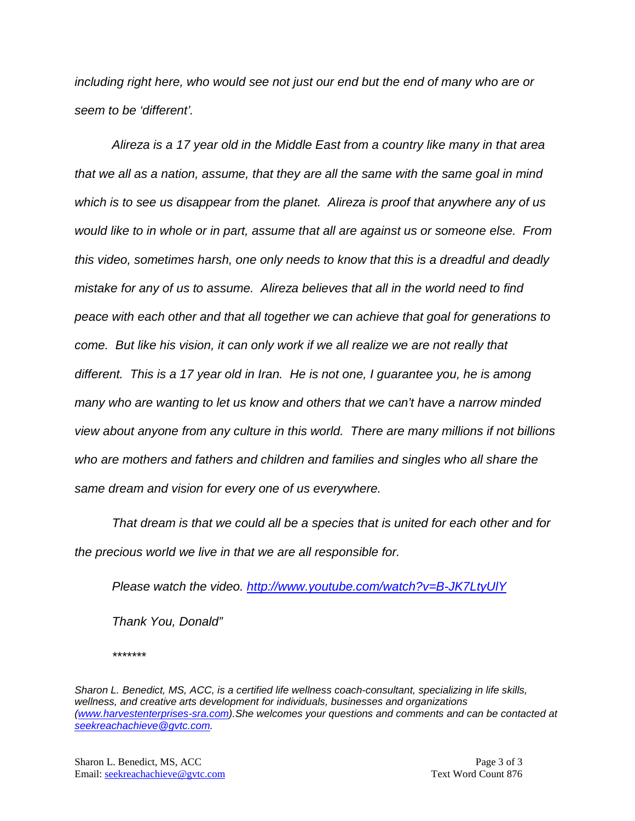*including right here, who would see not just our end but the end of many who are or seem to be 'different'.*

*Alireza is a 17 year old in the Middle East from a country like many in that area that we all as a nation, assume, that they are all the same with the same goal in mind which is to see us disappear from the planet. Alireza is proof that anywhere any of us would like to in whole or in part, assume that all are against us or someone else. From this video, sometimes harsh, one only needs to know that this is a dreadful and deadly mistake for any of us to assume. Alireza believes that all in the world need to find peace with each other and that all together we can achieve that goal for generations to come. But like his vision, it can only work if we all realize we are not really that different. This is a 17 year old in Iran. He is not one, I guarantee you, he is among many who are wanting to let us know and others that we can't have a narrow minded view about anyone from any culture in this world. There are many millions if not billions who are mothers and fathers and children and families and singles who all share the same dream and vision for every one of us everywhere.*

*That dream is that we could all be a species that is united for each other and for the precious world we live in that we are all responsible for.*

*Please watch the video. <http://www.youtube.com/watch?v=B-JK7LtyUlY>*

*Thank You, Donald"*

*\*\*\*\*\*\*\**

*Sharon L. Benedict, MS, ACC, is a certified life wellness coach-consultant, specializing in life skills, wellness, and creative arts development for individuals, businesses and organizations [\(www.harvestenterprises-sra.com\)](http://www.harvestenterprises-sra.com/).She welcomes your questions and comments and can be contacted at [seekreachachieve@gvtc.com.](mailto:seekreachachieve@gvtc.com)*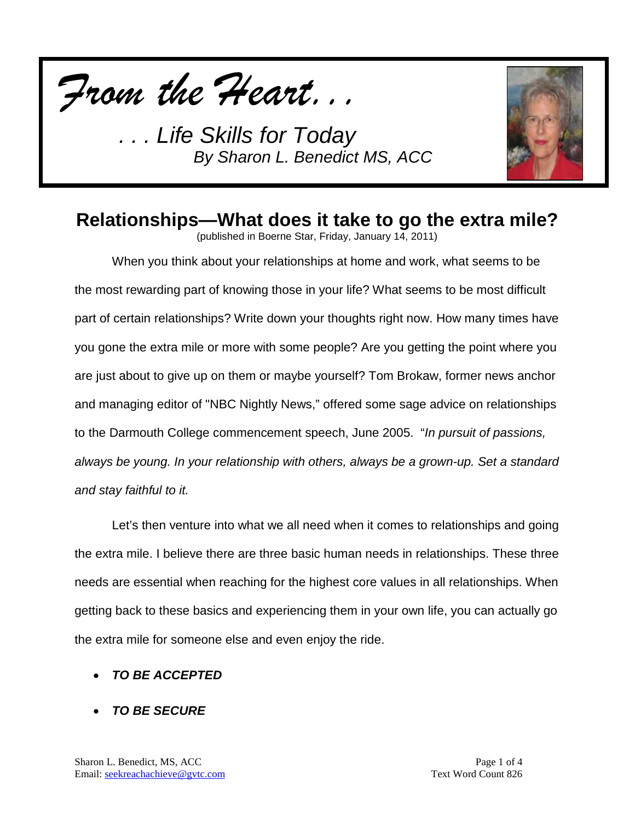



## **Relationships—What does it take to go the extra mile?**

(published in Boerne Star, Friday, January 14, 2011)

When you think about your relationships at home and work, what seems to be the most rewarding part of knowing those in your life? What seems to be most difficult part of certain relationships? Write down your thoughts right now. How many times have you gone the extra mile or more with some people? Are you getting the point where you are just about to give up on them or maybe yourself? Tom Brokaw, former news anchor and managing editor of "NBC Nightly News," offered some sage advice on relationships to the Darmouth College commencement speech, June 2005. "*In pursuit of passions, always be young. In your relationship with others, always be a grown-up. Set a standard and stay faithful to it.*

Let's then venture into what we all need when it comes to relationships and going the extra mile. I believe there are three basic human needs in relationships. These three needs are essential when reaching for the highest core values in all relationships. When getting back to these basics and experiencing them in your own life, you can actually go the extra mile for someone else and even enjoy the ride.

### • *TO BE ACCEPTED*

• *TO BE SECURE*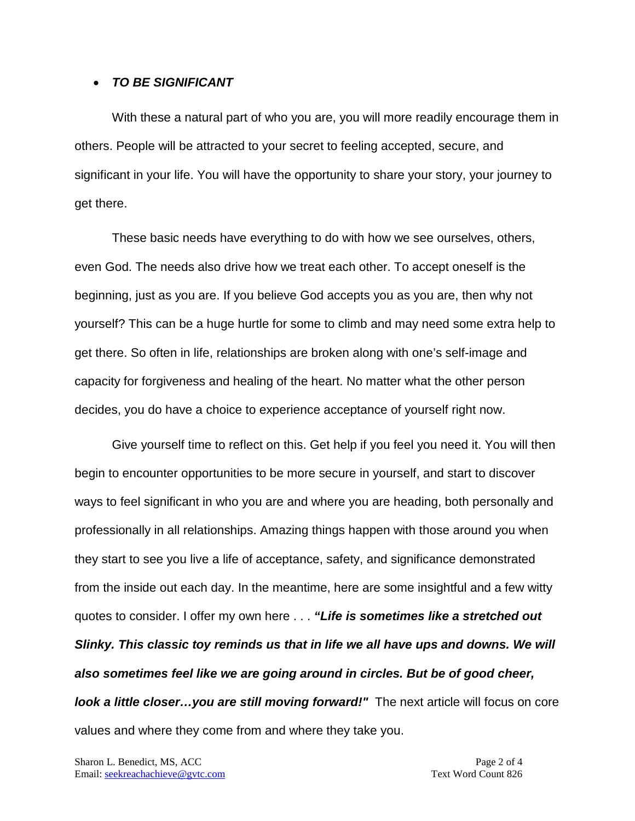#### • *TO BE SIGNIFICANT*

With these a natural part of who you are, you will more readily encourage them in others. People will be attracted to your secret to feeling accepted, secure, and significant in your life. You will have the opportunity to share your story, your journey to get there.

These basic needs have everything to do with how we see ourselves, others, even God. The needs also drive how we treat each other. To accept oneself is the beginning, just as you are. If you believe God accepts you as you are, then why not yourself? This can be a huge hurtle for some to climb and may need some extra help to get there. So often in life, relationships are broken along with one's self-image and capacity for forgiveness and healing of the heart. No matter what the other person decides, you do have a choice to experience acceptance of yourself right now.

Give yourself time to reflect on this. Get help if you feel you need it. You will then begin to encounter opportunities to be more secure in yourself, and start to discover ways to feel significant in who you are and where you are heading, both personally and professionally in all relationships. Amazing things happen with those around you when they start to see you live a life of acceptance, safety, and significance demonstrated from the inside out each day. In the meantime, here are some insightful and a few witty quotes to consider. I offer my own here . . . *"Life is sometimes like a stretched out Slinky. This classic toy reminds us that in life we all have ups and downs. We will also sometimes feel like we are going around in circles. But be of good cheer, look a little closer...you are still moving forward!"* The next article will focus on core values and where they come from and where they take you.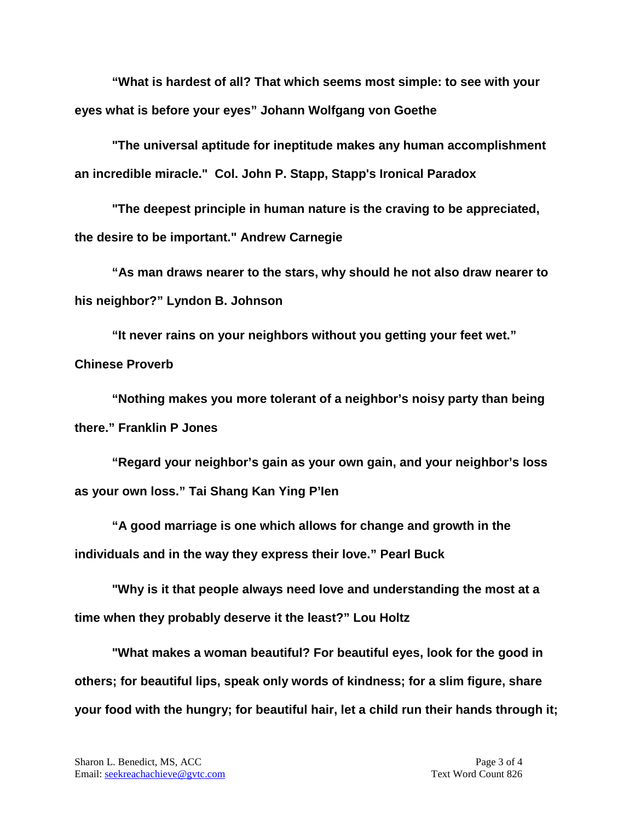**"What is hardest of all? That which seems most simple: to see with your eyes what is before your eyes" Johann Wolfgang von Goethe**

**"The universal aptitude for ineptitude makes any human accomplishment an incredible miracle." Col. John P. Stapp, Stapp's Ironical Paradox**

**"The deepest principle in human nature is the craving to be appreciated, the desire to be important." Andrew Carnegie** 

**"As man draws nearer to the stars, why should he not also draw nearer to his neighbor?" Lyndon B. Johnson**

**"It never rains on your neighbors without you getting your feet wet." Chinese Proverb**

**"Nothing makes you more tolerant of a neighbor's noisy party than being there." Franklin P Jones**

**"Regard your neighbor's gain as your own gain, and your neighbor's loss as your own loss." Tai Shang Kan Ying P'Ien**

**"A good marriage is one which allows for change and growth in the individuals and in the way they express their love." Pearl Buck** 

**"Why is it that people always need love and understanding the most at a time when they probably deserve it the least?" Lou Holtz**

**"What makes a woman beautiful? For beautiful eyes, look for the good in others; for beautiful lips, speak only words of kindness; for a slim figure, share your food with the hungry; for beautiful hair, let a child run their hands through it;**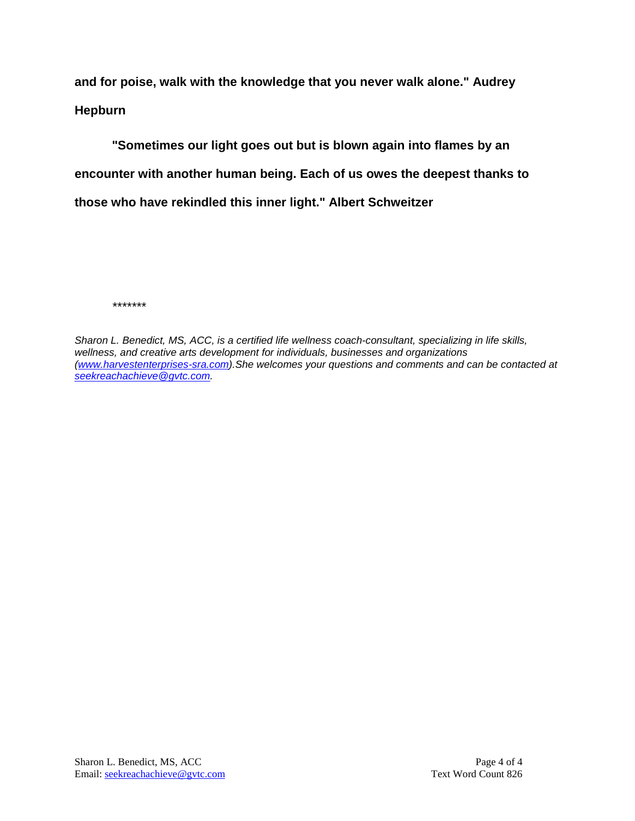**and for poise, walk with the knowledge that you never walk alone." Audrey Hepburn**

**"Sometimes our light goes out but is blown again into flames by an encounter with another human being. Each of us owes the deepest thanks to those who have rekindled this inner light." Albert Schweitzer**

*\*\*\*\*\*\*\**

*Sharon L. Benedict, MS, ACC, is a certified life wellness coach-consultant, specializing in life skills, wellness, and creative arts development for individuals, businesses and organizations [\(www.harvestenterprises-sra.com\)](http://www.harvestenterprises-sra.com/).She welcomes your questions and comments and can be contacted at [seekreachachieve@gvtc.com.](mailto:seekreachachieve@gvtc.com)*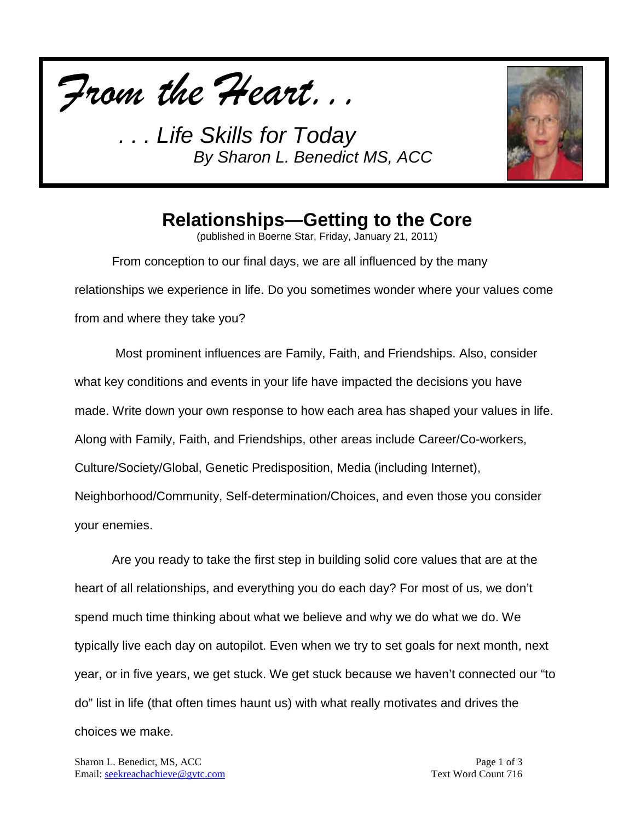



# **Relationships—Getting to the Core**

(published in Boerne Star, Friday, January 21, 2011)

From conception to our final days, we are all influenced by the many relationships we experience in life. Do you sometimes wonder where your values come from and where they take you?

Most prominent influences are Family, Faith, and Friendships. Also, consider what key conditions and events in your life have impacted the decisions you have made. Write down your own response to how each area has shaped your values in life. Along with Family, Faith, and Friendships, other areas include Career/Co-workers, Culture/Society/Global, Genetic Predisposition, Media (including Internet), Neighborhood/Community, Self-determination/Choices, and even those you consider your enemies.

Are you ready to take the first step in building solid core values that are at the heart of all relationships, and everything you do each day? For most of us, we don't spend much time thinking about what we believe and why we do what we do. We typically live each day on autopilot. Even when we try to set goals for next month, next year, or in five years, we get stuck. We get stuck because we haven't connected our "to do" list in life (that often times haunt us) with what really motivates and drives the choices we make.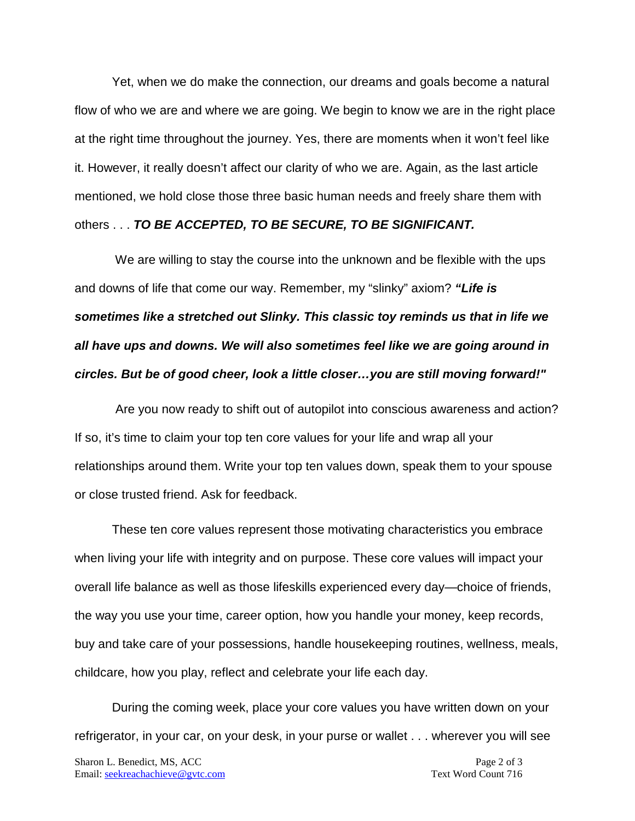Yet, when we do make the connection, our dreams and goals become a natural flow of who we are and where we are going. We begin to know we are in the right place at the right time throughout the journey. Yes, there are moments when it won't feel like it. However, it really doesn't affect our clarity of who we are. Again, as the last article mentioned, we hold close those three basic human needs and freely share them with others . . . *TO BE ACCEPTED, TO BE SECURE, TO BE SIGNIFICANT.* 

We are willing to stay the course into the unknown and be flexible with the ups and downs of life that come our way. Remember, my "slinky" axiom? *"Life is sometimes like a stretched out Slinky. This classic toy reminds us that in life we all have ups and downs. We will also sometimes feel like we are going around in circles. But be of good cheer, look a little closer…you are still moving forward!"*

Are you now ready to shift out of autopilot into conscious awareness and action? If so, it's time to claim your top ten core values for your life and wrap all your relationships around them. Write your top ten values down, speak them to your spouse or close trusted friend. Ask for feedback.

These ten core values represent those motivating characteristics you embrace when living your life with integrity and on purpose. These core values will impact your overall life balance as well as those lifeskills experienced every day—choice of friends, the way you use your time, career option, how you handle your money, keep records, buy and take care of your possessions, handle housekeeping routines, wellness, meals, childcare, how you play, reflect and celebrate your life each day.

During the coming week, place your core values you have written down on your refrigerator, in your car, on your desk, in your purse or wallet . . . wherever you will see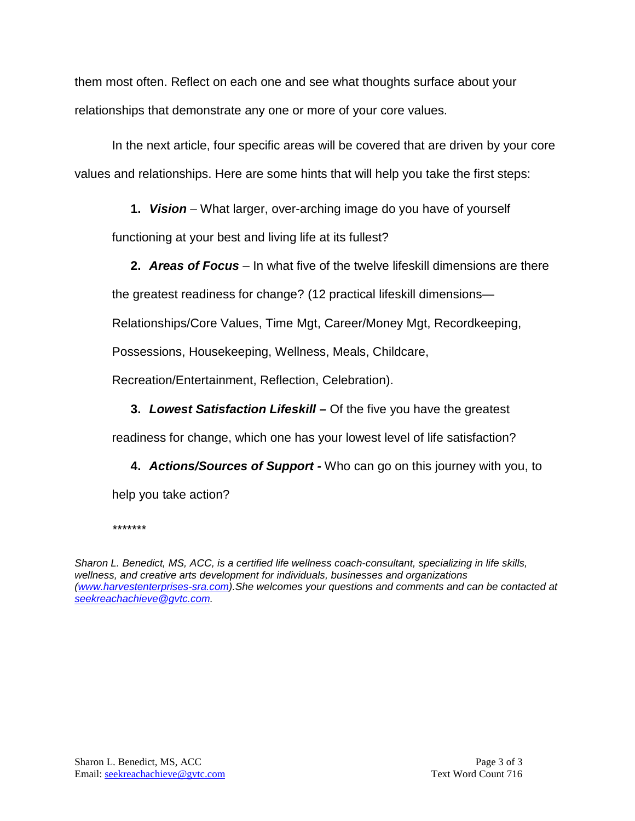them most often. Reflect on each one and see what thoughts surface about your relationships that demonstrate any one or more of your core values.

In the next article, four specific areas will be covered that are driven by your core values and relationships. Here are some hints that will help you take the first steps:

**1.** *Vision* – What larger, over-arching image do you have of yourself

functioning at your best and living life at its fullest?

**2.** *Areas of Focus* – In what five of the twelve lifeskill dimensions are there

the greatest readiness for change? (12 practical lifeskill dimensions—

Relationships/Core Values, Time Mgt, Career/Money Mgt, Recordkeeping,

Possessions, Housekeeping, Wellness, Meals, Childcare,

Recreation/Entertainment, Reflection, Celebration).

**3.** *Lowest Satisfaction Lifeskill –* Of the five you have the greatest

readiness for change, which one has your lowest level of life satisfaction?

**4.** *Actions/Sources of Support -* Who can go on this journey with you, to

help you take action?

*\*\*\*\*\*\*\**

*Sharon L. Benedict, MS, ACC, is a certified life wellness coach-consultant, specializing in life skills, wellness, and creative arts development for individuals, businesses and organizations [\(www.harvestenterprises-sra.com\)](http://www.harvestenterprises-sra.com/).She welcomes your questions and comments and can be contacted at [seekreachachieve@gvtc.com.](mailto:seekreachachieve@gvtc.com)*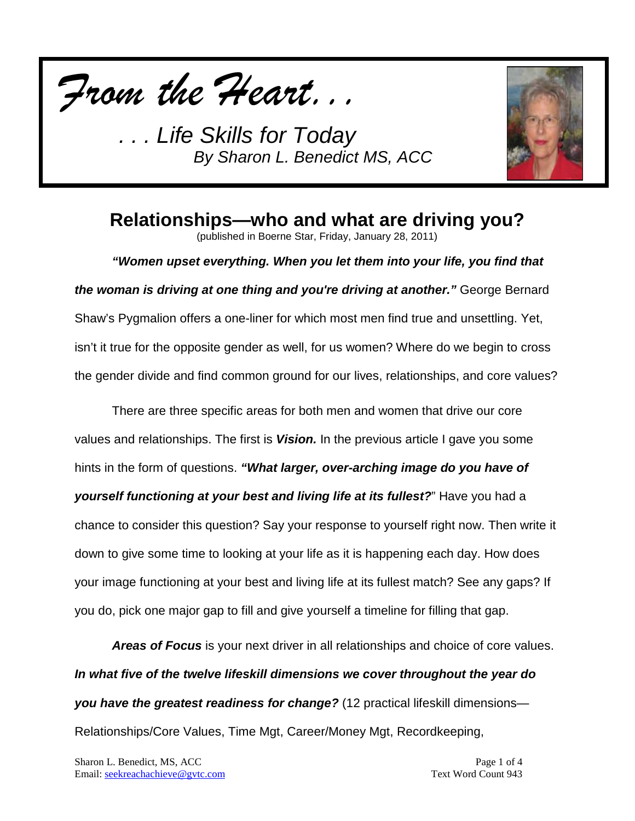*From the Heart...*



**Relationships—who and what are driving you?**

(published in Boerne Star, Friday, January 28, 2011)

*"Women upset everything. When you let them into your life, you find that the woman is driving at one thing and you're driving at another."* George Bernard Shaw's Pygmalion offers a one-liner for which most men find true and unsettling. Yet, isn't it true for the opposite gender as well, for us women? Where do we begin to cross the gender divide and find common ground for our lives, relationships, and core values?

There are three specific areas for both men and women that drive our core values and relationships. The first is *Vision.* In the previous article I gave you some hints in the form of questions. *"What larger, over-arching image do you have of yourself functioning at your best and living life at its fullest?*" Have you had a chance to consider this question? Say your response to yourself right now. Then write it down to give some time to looking at your life as it is happening each day. How does your image functioning at your best and living life at its fullest match? See any gaps? If you do, pick one major gap to fill and give yourself a timeline for filling that gap.

*Areas of Focus* is your next driver in all relationships and choice of core values. *In what five of the twelve lifeskill dimensions we cover throughout the year do you have the greatest readiness for change?* (12 practical lifeskill dimensions— Relationships/Core Values, Time Mgt, Career/Money Mgt, Recordkeeping,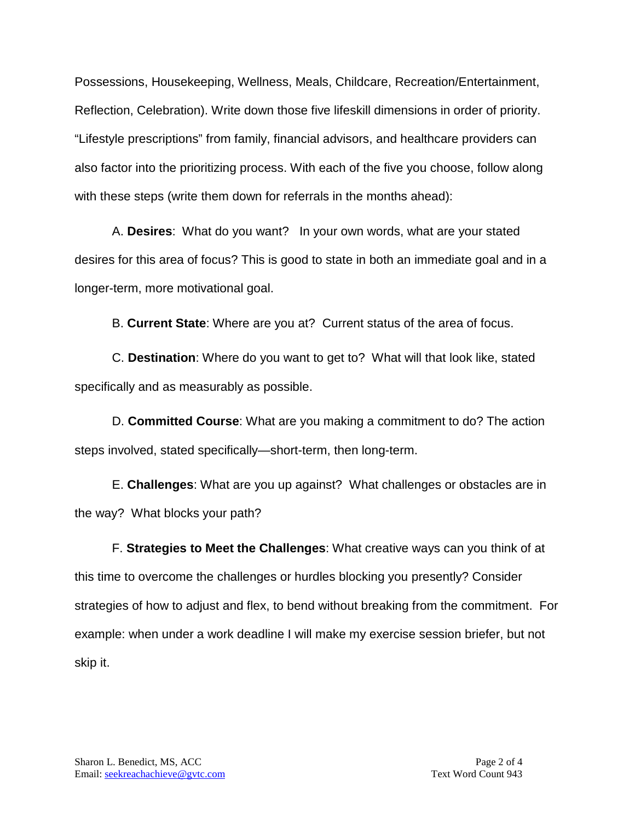Possessions, Housekeeping, Wellness, Meals, Childcare, Recreation/Entertainment, Reflection, Celebration). Write down those five lifeskill dimensions in order of priority. "Lifestyle prescriptions" from family, financial advisors, and healthcare providers can also factor into the prioritizing process. With each of the five you choose, follow along with these steps (write them down for referrals in the months ahead):

A. **Desires**: What do you want? In your own words, what are your stated desires for this area of focus? This is good to state in both an immediate goal and in a longer-term, more motivational goal.

B. **Current State**: Where are you at? Current status of the area of focus.

C. **Destination**: Where do you want to get to? What will that look like, stated specifically and as measurably as possible.

D. **Committed Course**: What are you making a commitment to do? The action steps involved, stated specifically—short-term, then long-term.

E. **Challenges**: What are you up against? What challenges or obstacles are in the way? What blocks your path?

F. **Strategies to Meet the Challenges**: What creative ways can you think of at this time to overcome the challenges or hurdles blocking you presently? Consider strategies of how to adjust and flex, to bend without breaking from the commitment. For example: when under a work deadline I will make my exercise session briefer, but not skip it.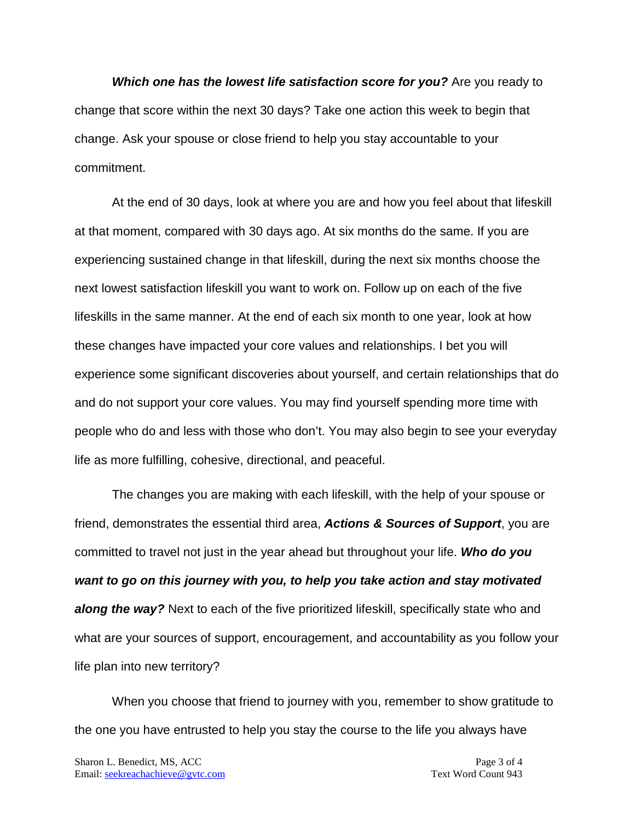*Which one has the lowest life satisfaction score for you?* Are you ready to change that score within the next 30 days? Take one action this week to begin that change. Ask your spouse or close friend to help you stay accountable to your commitment.

At the end of 30 days, look at where you are and how you feel about that lifeskill at that moment, compared with 30 days ago. At six months do the same. If you are experiencing sustained change in that lifeskill, during the next six months choose the next lowest satisfaction lifeskill you want to work on. Follow up on each of the five lifeskills in the same manner. At the end of each six month to one year, look at how these changes have impacted your core values and relationships. I bet you will experience some significant discoveries about yourself, and certain relationships that do and do not support your core values. You may find yourself spending more time with people who do and less with those who don't. You may also begin to see your everyday life as more fulfilling, cohesive, directional, and peaceful.

The changes you are making with each lifeskill, with the help of your spouse or friend, demonstrates the essential third area, *Actions & Sources of Support*, you are committed to travel not just in the year ahead but throughout your life. *Who do you want to go on this journey with you, to help you take action and stay motivated along the way?* Next to each of the five prioritized lifeskill, specifically state who and what are your sources of support, encouragement, and accountability as you follow your life plan into new territory?

When you choose that friend to journey with you, remember to show gratitude to the one you have entrusted to help you stay the course to the life you always have